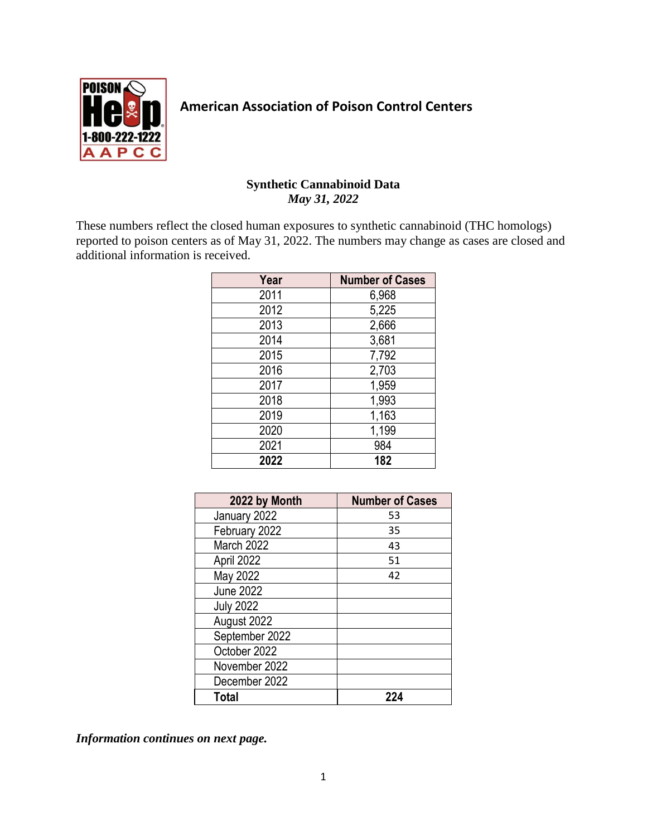

## **American Association of Poison Control Centers**

## **Synthetic Cannabinoid Data** *May 31, 2022*

These numbers reflect the closed human exposures to synthetic cannabinoid (THC homologs) reported to poison centers as of May 31, 2022. The numbers may change as cases are closed and additional information is received.

| Year | <b>Number of Cases</b> |
|------|------------------------|
| 2011 | 6,968                  |
| 2012 | 5,225                  |
| 2013 | 2,666                  |
| 2014 | 3,681                  |
| 2015 | 7,792                  |
| 2016 | 2,703                  |
| 2017 | 1,959                  |
| 2018 | 1,993                  |
| 2019 | 1,163                  |
| 2020 | 1,199                  |
| 2021 | 984                    |
| 2022 | 182                    |

| 2022 by Month    | <b>Number of Cases</b> |  |  |
|------------------|------------------------|--|--|
| January 2022     | 53                     |  |  |
| February 2022    | 35                     |  |  |
| March 2022       | 43                     |  |  |
| April 2022       | 51                     |  |  |
| May 2022         | 42                     |  |  |
| <b>June 2022</b> |                        |  |  |
| <b>July 2022</b> |                        |  |  |
| August 2022      |                        |  |  |
| September 2022   |                        |  |  |
| October 2022     |                        |  |  |
| November 2022    |                        |  |  |
| December 2022    |                        |  |  |
| Total            | 224                    |  |  |

*Information continues on next page.*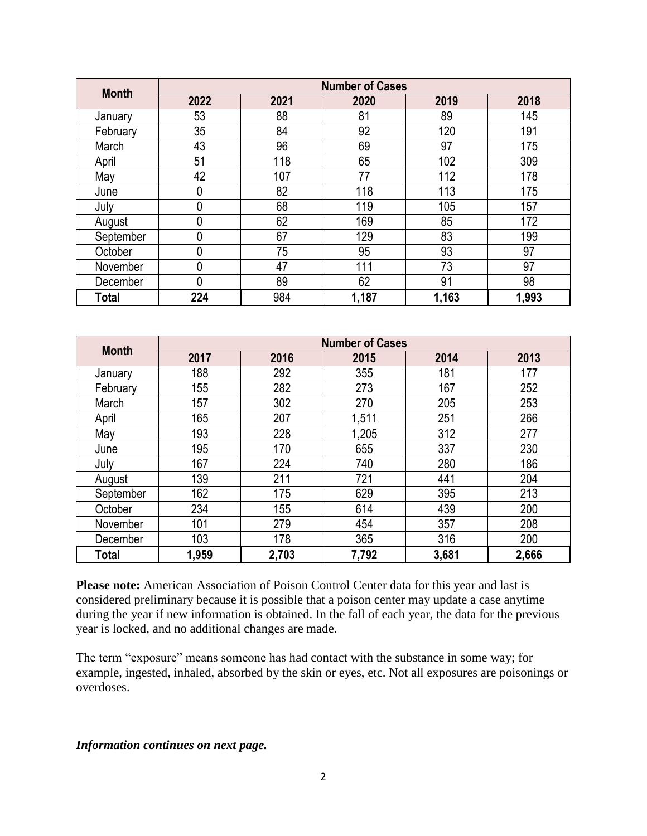| <b>Month</b> | <b>Number of Cases</b> |      |       |       |       |
|--------------|------------------------|------|-------|-------|-------|
|              | 2022                   | 2021 | 2020  | 2019  | 2018  |
| January      | 53                     | 88   | 81    | 89    | 145   |
| February     | 35                     | 84   | 92    | 120   | 191   |
| March        | 43                     | 96   | 69    | 97    | 175   |
| April        | 51                     | 118  | 65    | 102   | 309   |
| May          | 42                     | 107  | 77    | 112   | 178   |
| June         | 0                      | 82   | 118   | 113   | 175   |
| July         | $\mathbf 0$            | 68   | 119   | 105   | 157   |
| August       | 0                      | 62   | 169   | 85    | 172   |
| September    | $\mathbf{0}$           | 67   | 129   | 83    | 199   |
| October      | 0                      | 75   | 95    | 93    | 97    |
| November     | $\overline{0}$         | 47   | 111   | 73    | 97    |
| December     | $\mathbf{0}$           | 89   | 62    | 91    | 98    |
| Total        | 224                    | 984  | 1,187 | 1,163 | 1,993 |

| <b>Month</b> | <b>Number of Cases</b> |       |       |       |       |
|--------------|------------------------|-------|-------|-------|-------|
|              | 2017                   | 2016  | 2015  | 2014  | 2013  |
| January      | 188                    | 292   | 355   | 181   | 177   |
| February     | 155                    | 282   | 273   | 167   | 252   |
| March        | 157                    | 302   | 270   | 205   | 253   |
| April        | 165                    | 207   | 1,511 | 251   | 266   |
| May          | 193                    | 228   | 1,205 | 312   | 277   |
| June         | 195                    | 170   | 655   | 337   | 230   |
| July         | 167                    | 224   | 740   | 280   | 186   |
| August       | 139                    | 211   | 721   | 441   | 204   |
| September    | 162                    | 175   | 629   | 395   | 213   |
| October      | 234                    | 155   | 614   | 439   | 200   |
| November     | 101                    | 279   | 454   | 357   | 208   |
| December     | 103                    | 178   | 365   | 316   | 200   |
| Total        | 1,959                  | 2,703 | 7,792 | 3,681 | 2,666 |

**Please note:** American Association of Poison Control Center data for this year and last is considered preliminary because it is possible that a poison center may update a case anytime during the year if new information is obtained. In the fall of each year, the data for the previous year is locked, and no additional changes are made.

The term "exposure" means someone has had contact with the substance in some way; for example, ingested, inhaled, absorbed by the skin or eyes, etc. Not all exposures are poisonings or overdoses.

*Information continues on next page.*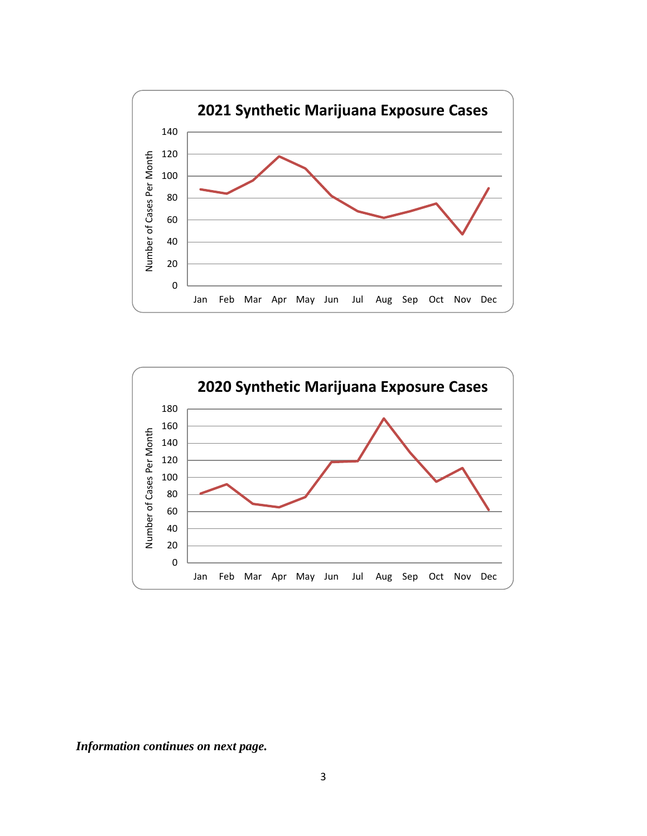



*Information continues on next page.*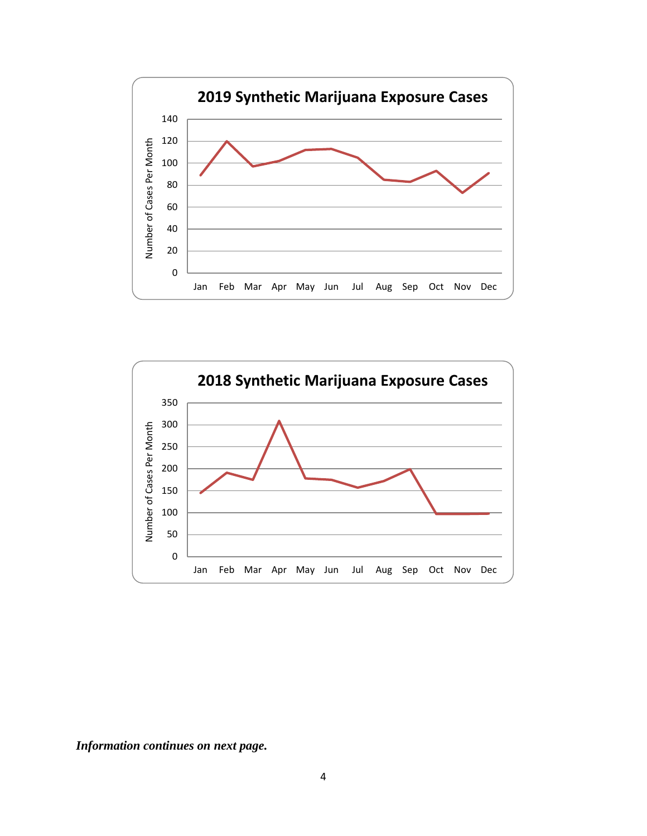



*Information continues on next page.*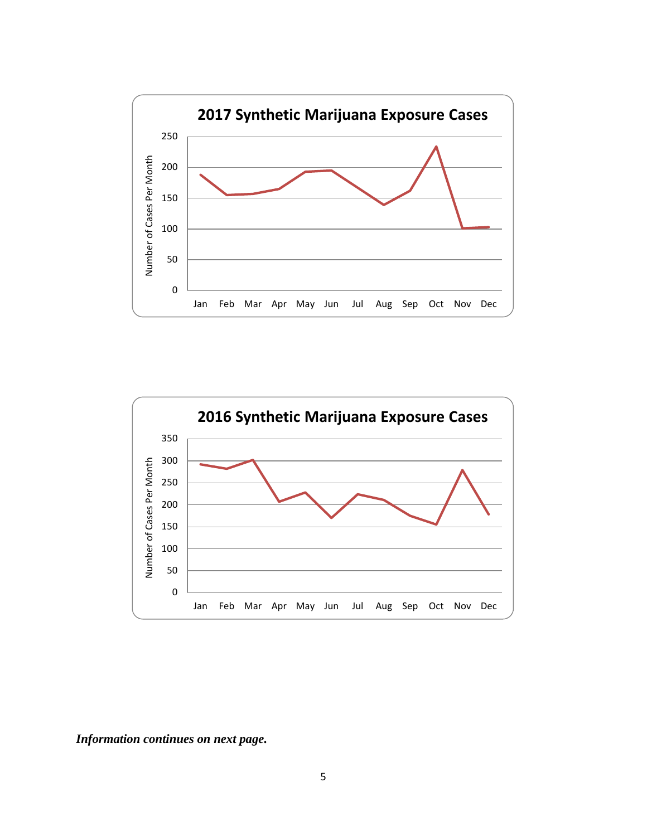



*Information continues on next page.*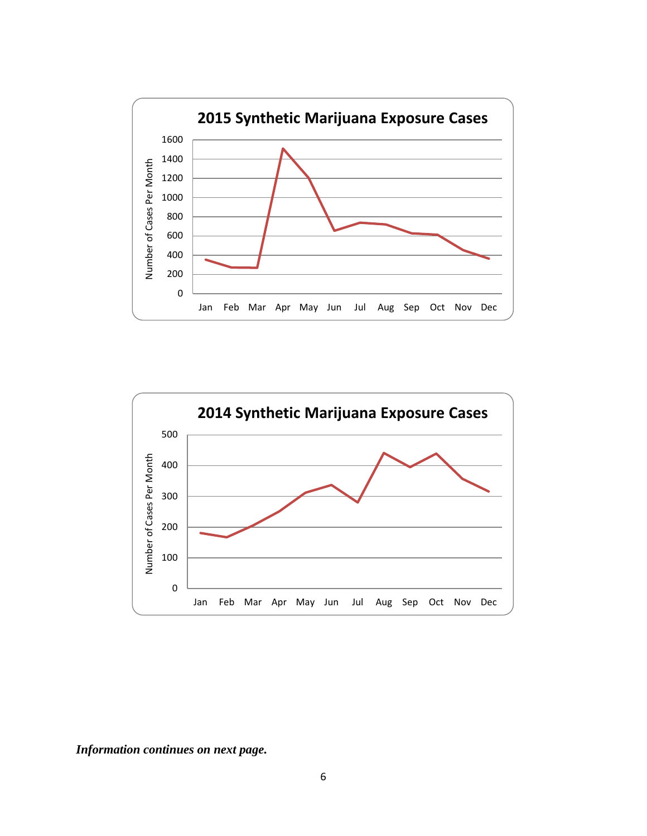



*Information continues on next page.*